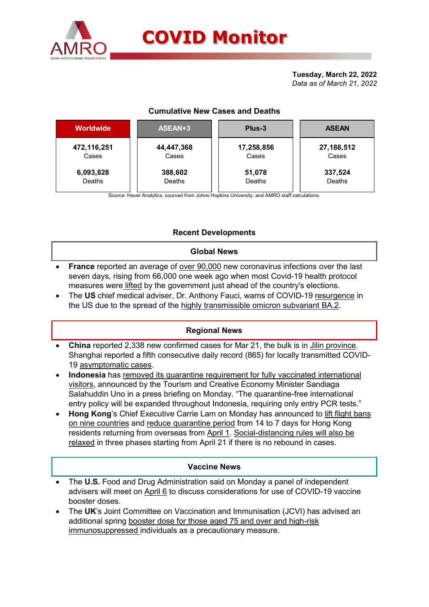

## Cumulative New Cases and Deaths

|                  |                                        | <b>COVID Monitor</b> |                           |
|------------------|----------------------------------------|----------------------|---------------------------|
|                  |                                        |                      | Tuesday, March 22, 2022   |
|                  |                                        |                      | Data as of March 21, 2022 |
|                  |                                        |                      |                           |
|                  | <b>Cumulative New Cases and Deaths</b> |                      |                           |
| <b>Worldwide</b> | ASEAN+3                                | Plus-3               | <b>ASEAN</b>              |
| 472,116,251      | 44,447,368                             | 17,258,856           | 27, 188, 512              |
| Cases            | Cases                                  | Cases                | Cases                     |
| 6,093,828        | 388,602                                | 51,078               | 337,524                   |

# Recent Developments

### Global News

- France reported an average of over 90,000 new coronavirus infections over the last seven days, rising from 66,000 one week ago when most Covid-19 health protocol measures were lifted by the government just ahead of the country's elections.
- The US chief medical adviser, Dr. Anthony Fauci, warns of COVID-19 resurgence in the US due to the spread of the highly transmissible omicron subvariant BA.2.

## Regional News

- China reported 2,338 new confirmed cases for Mar 21, the bulk is in Jilin province. Shanghai reported a fifth consecutive daily record (865) for locally transmitted COVID-19 asymptomatic cases.
- Indonesia has removed its quarantine requirement for fully vaccinated international visitors, announced by the Tourism and Creative Economy Minister Sandiaga Salahuddin Uno in a press briefing on Monday. "The quarantine-free international entry policy will be expanded throughout Indonesia, requiring only entry PCR tests."
- Hong Kong's Chief Executive Carrie Lam on Monday has announced to lift flight bans on nine countries and reduce quarantine period from 14 to 7 days for Hong Kong residents returning from overseas from April 1. Social-distancing rules will also be relaxed in three phases starting from April 21 if there is no rebound in cases.

#### Vaccine News

- The U.S. Food and Drug Administration said on Monday a panel of independent advisers will meet on April 6 to discuss considerations for use of COVID-19 vaccine booster doses.
- The UK's Joint Committee on Vaccination and Immunisation (JCVI) has advised an additional spring booster dose for those aged 75 and over and high-risk immunosuppressed individuals as a precautionary measure.